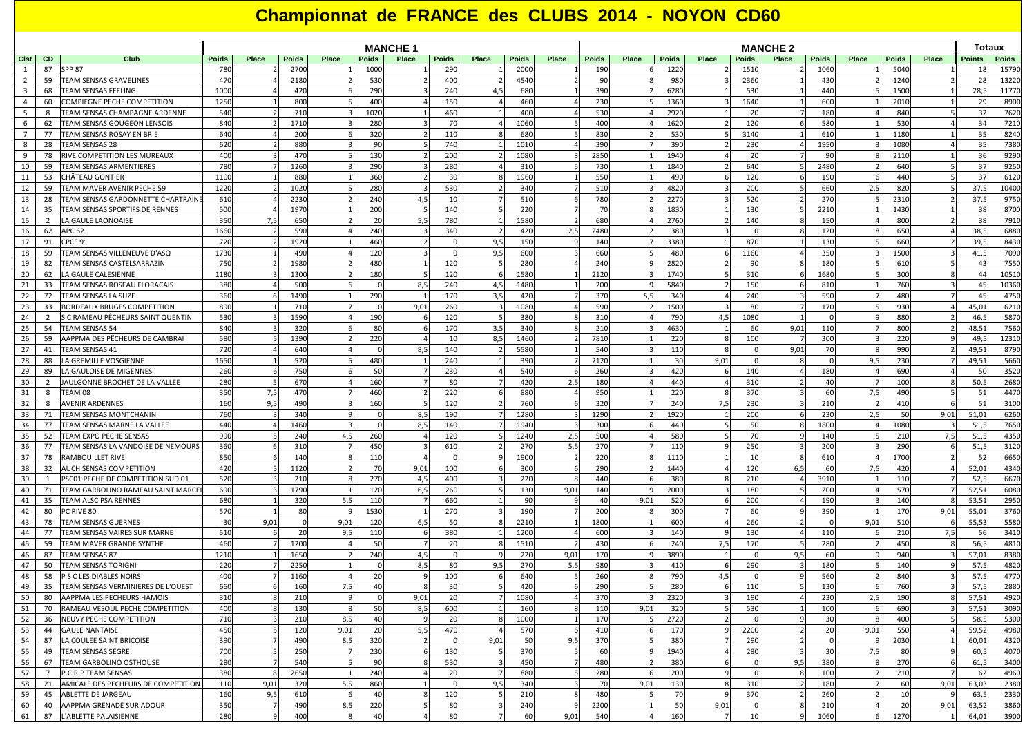## **Championnat de FRANCE des CLUBS 2014 - NOYON CD60**

|                         |                      |                                                                        | <b>MANCHE 1</b> |       |             |       |                   |                |            |       |                   |       | <b>MANCHE 2</b> |       |                 |          |                 |       |              |       |              | Totaux |                 |              |
|-------------------------|----------------------|------------------------------------------------------------------------|-----------------|-------|-------------|-------|-------------------|----------------|------------|-------|-------------------|-------|-----------------|-------|-----------------|----------|-----------------|-------|--------------|-------|--------------|--------|-----------------|--------------|
| Clst                    | <b>CD</b>            | Club                                                                   | <b>Poids</b>    | Place | Poids       | Place | Poids             | Place          | Poids      | Place | <b>Poids</b>      | Place | <b>Poids</b>    | Place | <b>Poids</b>    | Place    | <b>Poids</b>    | Place | <b>Poids</b> | Place | <b>Poids</b> | Place  | <b>Points</b>   | <b>Poids</b> |
| 1                       | 87                   | <b>SPP 87</b>                                                          | <b>780</b>      |       | 2700        |       | 1000              |                | 290        |       | 2000              |       | 190             |       | 1220            |          | 1510            |       | 1060         |       | 5040         |        | 18              | 15790        |
| $\overline{2}$          | 59                   | TEAM SENSAS GRAVELINES                                                 | 470             |       | 2180        |       | 530               |                | 400        |       | 4540              |       | 90              |       | 980             |          | 2360            |       | 430          |       | 1240         |        | 28              | 13220        |
| $\overline{\mathbf{3}}$ | 68                   | <b>TEAM SENSAS FEELING</b>                                             | 1000            |       | 420         |       | 290               |                | 240        | 4.5   | 680               |       | 390             |       | 6280            |          | 530             |       | 440          |       | 1500         |        | 28,5            | 11770        |
| $\overline{4}$          | 60                   | COMPIEGNE PECHE COMPETITION                                            | 1250            |       | 800         |       | 400               |                | 150        |       | 460               |       | 230             |       | 1360            |          | 1640            |       | 600          |       | 2010         |        | 29              | 8900         |
| 5                       | -8                   | TEAM SENSAS CHAMPAGNE ARDENNE                                          | 540             |       | 710         |       | 1020              |                | 460        |       | 400               |       | 530             |       | 2920            |          | -20             |       | 180          |       | 840          |        | 32              | 7620         |
| 6                       | 62                   | <b>TEAM SENSAS GOUGEON LENSOIS</b>                                     | 840             |       | 1710        |       | <b>280</b>        |                | 70         |       | 1060              |       | 400             |       | 1620            |          | 120             |       | 580          |       | 530          |        | 34              | 7210         |
| $7\overline{ }$<br>8    | 77<br>28             | TEAM SENSAS ROSAY EN BRIE<br>TEAM SENSAS 28                            | 640<br>620      |       | 200<br>880  |       | 320<br>90         |                | 110<br>740 |       | <b>680</b><br>101 |       | 830<br>390      |       | 53C<br>390      |          | 3140<br>230     |       | 610<br>1950  |       | 1180<br>1080 |        | 35<br>3!        | 8240<br>7380 |
| 9                       | 78                   | RIVE COMPETITION LES MUREAUX                                           | 400             |       | 470         |       | 130               |                | 200        |       | 1080              |       | 2850            |       | 1940            |          | 20              |       | 90           |       | 2110         |        | 36              | 9290         |
| 10                      | 59                   | TEAM SENSAS ARMENTIERES                                                | <b>780</b>      |       | 1260        |       | 290               |                | 280        |       | 31(               |       | 730             |       | 1840            |          | 640             |       | 2480         |       | 640          |        | $\overline{3}$  | 9250         |
| 11                      | 53                   | CHÂTEAU GONTIER                                                        | 1100            |       | 880         |       | 36C               |                | 30         |       | 1960              |       | 550             |       | 49 <sub>C</sub> |          | 12(             |       | 190          |       | 440          |        | 37              | 6120         |
| 12                      | 59                   | TEAM MAVER AVENIR PECHE 59                                             | 1220            |       | 1020        |       | <b>280</b>        |                | 530        |       | 340               |       | 510             |       | 4820            |          | 200             |       | 660          | 2,5   | 820          |        | 37,5            | 10400        |
| 13                      | 28                   | TEAM SENSAS GARDONNETTE CHARTRAIN                                      | 610             |       | 2230        |       | 240               | 4,5            | 10         |       | 510               |       | 780             |       | 2270            |          | 520             |       | 270          |       | 2310         |        | 37,5            | 9750         |
| 14                      | 35                   | TEAM SENSAS SPORTIFS DE RENNES                                         | 500             |       | 1970        |       | 200               |                | 140        |       | 220               |       | 70              |       | 1830            |          | 130             |       | 2210         |       | 1430         |        | 38              | 8700         |
| 15                      | $\overline{2}$       | LA GAULE LAONOAISE                                                     | 35C             | 7,5   | 650         |       | -20               | 5,5            | 780        |       | 1580              |       | 680             |       | 2760            |          | 140             |       | 150          |       | 800          |        | 38              | 7910         |
| 16                      | 62                   | <b>APC 62</b>                                                          | 1660            |       | 590         |       | 240               |                | 340        |       | 420               | 2,5   | 2480            |       | 380             |          |                 |       | 120          |       | 650          |        | 38,5            | 6880         |
| 17                      | 91                   | CPCE 91                                                                | 720             |       | 1920        |       | 46 <sub>C</sub>   |                |            | 9.5   | 150               |       | 140             |       | 3380            |          | 870             |       | 130          |       | 660          |        | 39,5            | 8430         |
| 18                      | 59                   | TEAM SENSAS VILLENEUVE D'ASQ                                           | 1730            |       | 490         |       | 120               |                |            | 9,5   | 600               |       | 660             |       | 48 <sub>C</sub> |          | 1160            |       | 350          |       | 1500         |        | 41,5            | 7090         |
| 19                      | 82                   | TEAM SENSAS CASTELSARRAZIN                                             | 750             |       | 1980        |       | 480               |                | 120        |       | 280               |       | 240             |       | 2820            |          | 90              |       | 180          |       | 610          |        | 43              | 7550         |
| 20                      | 62                   | LA GAULE CALESIENNE                                                    | 1180            |       | 1300        |       | 180               |                | 120        |       | 1580              |       | 2120            |       | 1740            |          | 31 <sub>0</sub> |       | 1680         |       | 300          |        | 44              | 10510        |
| 21                      | 33                   | TEAM SENSAS ROSEAU FLORACAIS                                           | 380             |       | 500         |       |                   | 8,5            | 240        | 4.5   | 1480              |       | 200             |       | 5840            |          | 150             |       | 810          |       | 760          |        | 45              | 10360        |
| 22                      | 72                   | TEAM SENSAS LA SUZE                                                    | 360             |       | 1490        |       | 290               |                | 170        | 3,5   | 42(               |       | 370             |       | 340             |          | 240             |       | 590          |       | 480          |        | 45              | 4750         |
| 23                      | 33                   | BORDEAUX BRUGES COMPETITION                                            | 890             |       | 710         |       |                   | 9,01           | 260        |       | 1080              |       | 590             |       | 1500            |          | -80             |       | 170          |       | 930          |        | 45,01           | 6210         |
| 24                      | 2                    | S C RAMEAU PÊCHEURS SAINT QUENTIN                                      | 530             |       | 1590        |       | 190               |                | 120        |       | 380               |       | 310             |       | 790             | 4,5      | 1080            |       |              |       | 880          |        | 46,5            | 5870         |
| 25                      | 54                   | <b>TEAM SENSAS 54</b>                                                  | 840             |       | 320         |       | 80                |                | 170        | 3,5   | 340               |       | 210             |       | 4630            |          | -60             | 9,01  | 110          |       | 800          |        | 48,51           | 7560         |
| 26                      | 59                   | AAPPMA DES PËCHEURS DE CAMBRAI                                         | 580             |       | 1390        |       | 220               |                | 10         | 8,5   | 1460              |       | 7810            |       | 220             |          | 100             |       | 300          |       | 220          |        | 49,5            | 12310        |
| 27                      | 41                   | <b>TEAM SENSAS 41</b>                                                  | 720             |       | 640         |       |                   | 8,5            | 140        |       | 5580              |       | 540             |       | 110             |          |                 | 9,01  | 70           |       | 990          |        | 49,51           | 8790         |
| 28                      | 88                   | LA GREMILLE VOSGIENNE                                                  | 1650            |       | 520         |       | 480               |                | 240        |       | 390               |       | 2120            |       | 30              | 9,01     |                 |       | $\Omega$     | 9,5   | 230          |        | 49,51           | 5660         |
| 29                      | 89                   | LA GAULOISE DE MIGENNES                                                | 260             |       | 750         |       | 50                |                | 230        |       | 540               |       | 260             |       | 420             |          | 140             |       | 180          |       | 690          |        | 50              | 3520         |
| 30                      | 2                    | JAULGONNE BROCHET DE LA VALLEE                                         | 280             |       | 670         |       | 160               |                | 80         |       | 420               | 2,5   | 180             |       | 440             |          | 310             |       | 40           |       | 100          |        | 50,5            | 2680         |
| 31                      | 8                    | TEAM 08                                                                | 35C             | 7,5   | 470         |       | 460               |                | 220        |       | 880               |       | 950             |       | 220             |          | 370             |       | 60           | 7,5   | 490          |        | 51              | 4470         |
| 32                      | 8                    | <b>AVENIR ARDENNES</b>                                                 | 160             | 9,5   | 490         |       | 160               |                | 120        |       | 760               |       | 320             |       | 240             | 7,5      | 230             |       | 210          |       | 410          |        | 51              | 3100         |
| 33                      | 71                   | TEAM SENSAS MONTCHANIN                                                 | 760             |       | 340         |       |                   | 8,5            | 190        |       | 1280              |       | 1290            |       | 1920            |          | 200             |       | 230          | 2,5   | 50           | 9,01   | 51,01           | 6260         |
| 34                      | 77                   | TEAM SENSAS MARNE LA VALLEE                                            | 440             |       | 1460        |       |                   | 8,5            | 140        |       | 1940              |       | 300             |       | 440             |          | 50              |       | 1800         |       | 1080         |        | 51,5            | 7650         |
| 35                      | 52                   | TEAM EXPO PECHE SENSAS                                                 | 99 <sub>C</sub> |       | 240         | 4,5   | 260               |                | 120        |       | 1240              | 2,5   | 500             |       | 580             |          | -70             |       | 140          |       | 210          | 7,5    | 51,5            | 4350         |
| 36                      | 77                   | TEAM SENSAS LA VANDOISE DE NEMOURS                                     | 360             |       | 310         |       | 450               |                | 610        |       | <b>270</b>        | 5,5   | 270             |       | 110             |          | 250             |       | 200          |       | 290          |        | 51,5            | 3120         |
| 37                      | 78                   | <b>RAMBOUILLET RIVE</b>                                                | 850             |       | 140         |       | 110               |                |            |       | 1900              |       | 220             |       | 1110            |          | 10              |       | 610          |       | 1700         |        | 52              | 6650         |
| 38                      | 32                   | <b>AUCH SENSAS COMPETITION</b>                                         | 420             |       | 1120        |       | 70                | 9,01           | 100        |       | 300               |       | 290<br>440      |       | 1440<br>38C     |          | 12(             | 6,5   | 60           | 7,5   | 420          |        | 52,01<br>52,5   | 4340         |
| 39<br>40                | $\overline{1}$<br>71 | PSC01 PECHE DE COMPETITION SUD 01<br>TEAM GARBOLINO RAMEAU SAINT MARCE | 520<br>69C      |       | 210<br>1790 |       | <b>270</b><br>120 | 4,5<br>6,5     | 400        |       | 220               |       |                 |       | 2000            |          | 21(             |       | 3910<br>200  |       | 110<br>570   |        | 52,51           | 6670<br>6080 |
| 41                      | 35                   | <b>TEAM ALSC PSA RENNES</b>                                            | <b>680</b>      |       | 320         | 5,5   | 110               |                | 260<br>660 |       | 130<br>-90        | 9,01  | 140<br>40       | 9,01  | 520             |          | 180<br>200      |       | 190          |       | 140          |        | 53,51           | 2950         |
| 42                      | 80                   | PC RIVE 80                                                             | 57C             |       | 80          |       | 1530              |                | <b>270</b> |       | 190               |       | 200             |       | 300             |          | -60             |       | 390          |       | 170          | 9,01   | 55,01           | 3760         |
| 43                      | 78                   | <b>TEAM SENSAS GUERNES</b>                                             | 30              | 9,01  | $\mathbf 0$ | 9,01  | 120               | 6,5            | 50         |       | 2210              |       | 1800            |       | 600             |          | 260             |       | $\Omega$     | 9,01  | 510          |        | 55,53           | 5580         |
| 44                      | 77                   | TEAM SENSAS VAIRES SUR MARNE                                           | 510             |       | 20          | 9,5   | 110               |                | 380        |       | 1200              |       | 600             |       | 140             |          | 130             |       | 110          |       | 210          | 7,5    | 56              | 3410         |
| 45                      | 59                   | TEAM MAVER GRANDE SYNTHE                                               | 460             |       | 1200        |       | 50                |                | 20         |       | 151               |       | 430             |       | 240             | 7,5      | 170             |       | 280          |       | 450          |        | 56,5            | 4810         |
| 46                      | 87                   | <b>TEAM SENSAS 87</b>                                                  | 1210            |       | 1650        |       | 240               | 4,5            |            |       | 220               | 9,01  | 170             |       | 3890            |          |                 | 9,5   | 60           |       | 940          |        | 57,01           | 8380         |
| 47                      | 50                   | <b>TEAM SENSAS TORIGN</b>                                              | 22C             |       | 2250        |       |                   | 8 <sub>1</sub> | 80         | 9.5   | <b>270</b>        | 5.5   | 980             |       | 410             |          | 290             |       | 180          |       | 140          |        | 57,             | 4820         |
| 48                      | 58                   | P S C LES DIABLES NOIRS                                                | 40 <sub>C</sub> |       | 1160        |       | 20                |                | 100        |       | 640               |       | 260             |       | 790             | 4.5      |                 |       | 560          |       | 840          |        | 57 <sub>1</sub> | 4770         |
| 49                      | 35                   | TEAM SENSAS VERMINIERES DE L'OUEST                                     | <b>660</b>      |       | 160         | 7.5   | 40                |                | 30         |       | 420               |       | 290             |       | 280             |          | 110             |       | 130          |       | 760          |        | 57.5            | 2880         |
| 50                      | 80                   | AAPPMA LES PECHEURS HAMOIS                                             | 310             |       | 210         |       | $\Omega$          | 9,01           | 20         |       | 1080              |       | 370             |       | 2320            |          | 190             |       | 230          | 2,5   | 190          |        | 57,51           | 4920         |
| 51                      | 70                   | RAMEAU VESOUL PECHE COMPETITION                                        | 400             |       | 130         |       | 50                | 8,5            | 600        |       | 160               |       | 110             | 9,01  | 320             |          | 530             |       | 100          |       | 690          |        | 57,51           | 3090         |
| 52                      | 36                   | NEUVY PECHE COMPETITION                                                | 710             |       | 210         | 8,5   | 40                |                | 20         |       | 1000              |       | 170             |       | 2720            |          |                 |       | 30           |       | 400          |        | 58,5            | 5300         |
| 53                      | 44                   | <b>GAULE NANTAISE</b>                                                  | 450             |       | 120         | 9,01  | 20                | 5,5            | 470        |       | 570               |       | 410             |       | 170             |          | 2200            |       | 20           | 9,01  | 550          |        | 59,52           | 4980         |
| 54                      | 87                   | LA COULEE SAINT BRICOISE                                               | 390             |       | 490         | 8,5   | 320               |                |            | 9,01  | 50                | 9,5   | 370             |       | 380             |          | 290             |       | $\Omega$     |       | 2030         |        | 60,01           | 4320         |
| 55                      | 49                   | <b>TEAM SENSAS SEGRE</b>                                               | 700             |       | 250         |       | <b>230</b>        |                | 130        |       | 370               |       | 60              |       | 1940            |          | 280             |       | 30           | 7,5   | 80           |        | 60,5            | 4070         |
| 56                      | 67                   | TEAM GARBOLINO OSTHOUSE                                                | 280             |       | 540         | .5    | 90                |                | 530        |       | 450               |       | 480             |       | 380             | 6        |                 | 9,5   | 380          |       | 270          | 6      | 61,5            | 3400         |
| 57                      | $\overline{7}$       | P.C.R.P TEAM SENSAS                                                    | 380             |       | 2650        | -1    | 240               |                | 20         |       | 880               |       | 280             |       | 200             | <b>q</b> |                 |       | 100          |       | 210          |        | 62              | 4960         |
| 58                      | 21                   | AMICALE DES PECHEURS DE COMPETITION                                    | 110             | 9,01  | 320         | 5,5   | 860               |                |            | 9,5   | 340               |       | 70              | 9,01  | 130             |          | 310             |       | 180          |       | 60           | 9,01   | 63,03           | 2380         |
| 59                      | 45                   | ABLETTE DE JARGEAU                                                     | 160             | 9,5   | 610         |       | 40                |                | 120        |       | 210               |       | 480             |       | 70              |          | 37C             |       | 260          |       | 10           |        | 63,5            | 2330         |
| 60                      | 40                   | AAPPMA GRENADE SUR ADOUR                                               | 350             |       | 490         | 8,5   | 220               |                | 80         |       | 240               |       | 2200            |       | 50              | 9,01     |                 |       | 210          |       | 20           | 9,01   | 63,52           | 3860         |
| 61                      | 87                   | L'ABLETTE PALAISIENNE                                                  | 280             |       | 400         |       | 40                |                | 80         |       | 60                | 9,01  | 540             |       | 160             |          | 10              |       | 1060         |       | 1270         |        | 64,01           | 3900         |